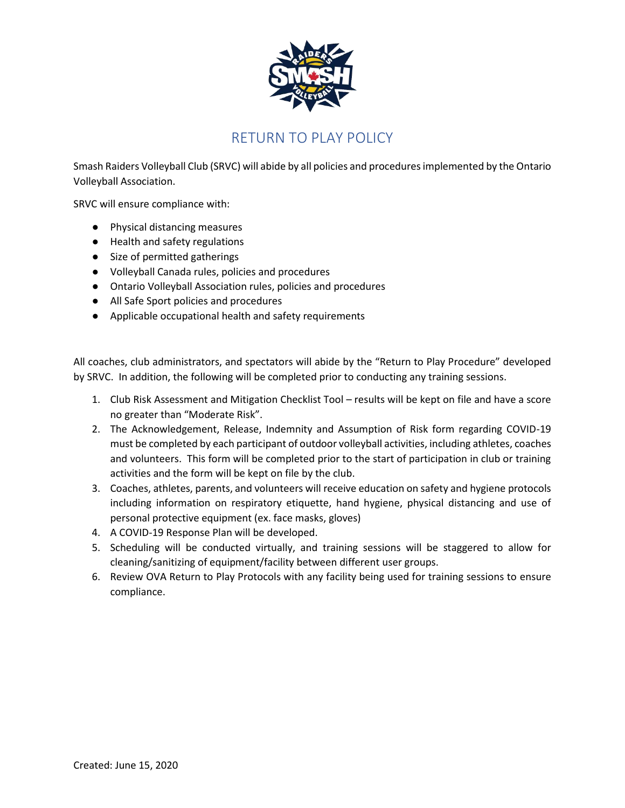

## RETURN TO PLAY POLICY

Smash Raiders Volleyball Club (SRVC) will abide by all policies and procedures implemented by the Ontario Volleyball Association.

SRVC will ensure compliance with:

- Physical distancing measures
- Health and safety regulations
- Size of permitted gatherings
- Volleyball Canada rules, policies and procedures
- Ontario Volleyball Association rules, policies and procedures
- All Safe Sport policies and procedures
- Applicable occupational health and safety requirements

All coaches, club administrators, and spectators will abide by the "Return to Play Procedure" developed by SRVC. In addition, the following will be completed prior to conducting any training sessions.

- 1. Club Risk Assessment and Mitigation Checklist Tool results will be kept on file and have a score no greater than "Moderate Risk".
- 2. The Acknowledgement, Release, Indemnity and Assumption of Risk form regarding COVID-19 must be completed by each participant of outdoor volleyball activities, including athletes, coaches and volunteers. This form will be completed prior to the start of participation in club or training activities and the form will be kept on file by the club.
- 3. Coaches, athletes, parents, and volunteers will receive education on safety and hygiene protocols including information on respiratory etiquette, hand hygiene, physical distancing and use of personal protective equipment (ex. face masks, gloves)
- 4. A COVID-19 Response Plan will be developed.
- 5. Scheduling will be conducted virtually, and training sessions will be staggered to allow for cleaning/sanitizing of equipment/facility between different user groups.
- 6. Review OVA Return to Play Protocols with any facility being used for training sessions to ensure compliance.